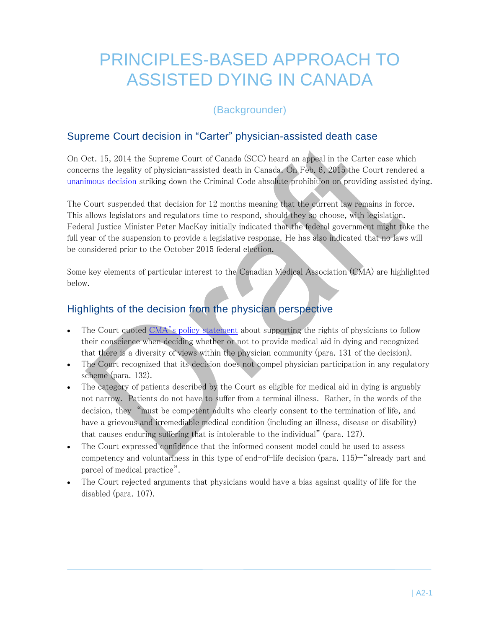# PRINCIPLES-BASED APPROACH TO ASSISTED DYING IN CANADA

# (Backgrounder)

### Supreme Court decision in "Carter" physician-assisted death case

On Oct. 15, 2014 the Supreme Court of Canada (SCC) heard an appeal in the Carter case which concerns the legality of physician-assisted death in Canada. On Feb. 6, 2015 the Court rendered a [unanimous decision](http://scc-csc.lexum.com/scc-csc/scc-csc/en/item/14637/index.do) striking down the Criminal Code absolute prohibition on providing assisted dying.

The Court suspended that decision for 12 months meaning that the current law remains in force. This allows legislators and regulators time to respond, should they so choose, with legislation. Federal Justice Minister Peter MacKay initially indicated that the federal government might take the full year of the suspension to provide a legislative response. He has also indicated that no laws will be considered prior to the October 2015 federal election.

Some key elements of particular interest to the Canadian Medical Association (CMA) are highlighted below.

### Highlights of the decision from the physician perspective

- The Court quoted CMA'[s policy statement](https://www.cma.ca/Assets/assets-library/document/en/advocacy/EOL/cma-policy-euthanasia-assisted-death-updated-2014-e.pdf) about supporting the rights of physicians to follow their conscience when deciding whether or not to provide medical aid in dying and recognized that there is a diversity of views within the physician community (para. 131 of the decision).
- The Court recognized that its decision does not compel physician participation in any regulatory scheme (para. 132).
- The category of patients described by the Court as eligible for medical aid in dying is arguably not narrow. Patients do not have to suffer from a terminal illness. Rather, in the words of the decision, they "must be competent adults who clearly consent to the termination of life, and have a grievous and irremediable medical condition (including an illness, disease or disability) that causes enduring suffering that is intolerable to the individual" (para. 127).
- The Court expressed confidence that the informed consent model could be used to assess competency and voluntariness in this type of end-of-life decision (para. 115)—"already part and parcel of medical practice".
- The Court rejected arguments that physicians would have a bias against quality of life for the disabled (para. 107).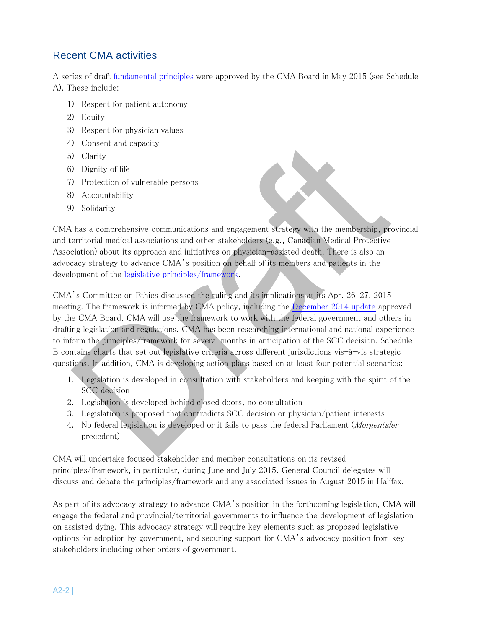# Recent CMA activities

A series of draft [fundamental principles](#page-3-0) were approved by the CMA Board in May 2015 (see Schedule A). These include:

- 1) Respect for patient autonomy
- 2) Equity
- 3) Respect for physician values
- 4) Consent and capacity
- 5) Clarity
- 6) Dignity of life
- 7) Protection of vulnerable persons
- 8) Accountability
- 9) Solidarity

CMA has a comprehensive communications and engagement strategy with the membership, provincial and territorial medical associations and other stakeholders (e.g., Canadian Medical Protective Association) about its approach and initiatives on physician-assisted death. There is also an advocacy strategy to advance CMA's position on behalf of its members and patients in the development of the [legislative principles/framework.](#page-3-0)

CMA's Committee on Ethics discussed the ruling and its implications at its Apr. 26-27, 2015 meeting. The framework is informed by CMA policy, including the [December 2014 update](https://www.cma.ca/Assets/assets-library/document/en/advocacy/EOL/cma-policy-euthanasia-assisted-death-updated-2014-e.pdf) approved by the CMA Board. CMA will use the framework to work with the federal government and others in drafting legislation and regulations. CMA has been researching international and national experience to inform the principles/framework for several months in anticipation of the SCC decision. Schedule B contains charts that set out legislative criteria across different jurisdictions vis-à-vis strategic questions. In addition, CMA is developing action plans based on at least four potential scenarios:

- 1. Legislation is developed in consultation with stakeholders and keeping with the spirit of the SCC decision
- 2. Legislation is developed behind closed doors, no consultation
- 3. Legislation is proposed that contradicts SCC decision or physician/patient interests
- 4. No federal legislation is developed or it fails to pass the federal Parliament (Morgentaler precedent)

CMA will undertake focused stakeholder and member consultations on its revised principles/framework, in particular, during June and July 2015. General Council delegates will discuss and debate the principles/framework and any associated issues in August 2015 in Halifax.

As part of its advocacy strategy to advance CMA's position in the forthcoming legislation, CMA will engage the federal and provincial/territorial governments to influence the development of legislation on assisted dying. This advocacy strategy will require key elements such as proposed legislative options for adoption by government, and securing support for CMA's advocacy position from key stakeholders including other orders of government.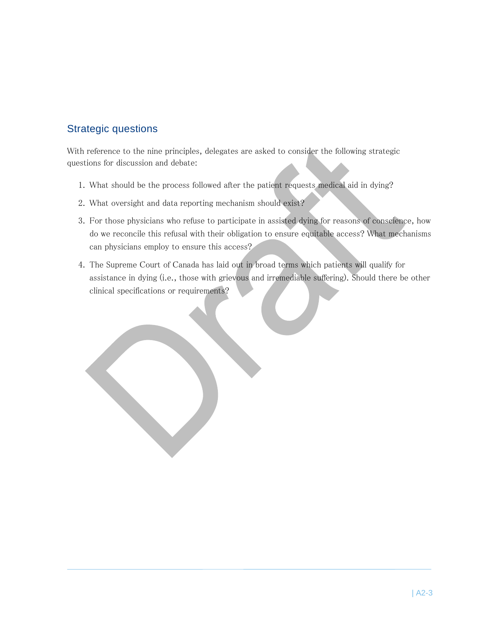### Strategic questions

With reference to the nine principles, delegates are asked to consider the following strategic questions for discussion and debate:

- 1. What should be the process followed after the patient requests medical aid in dying?
- 2. What oversight and data reporting mechanism should exist?
- 3. For those physicians who refuse to participate in assisted dying for reasons of conscience, how do we reconcile this refusal with their obligation to ensure equitable access? What mechanisms can physicians employ to ensure this access?
- 4. The Supreme Court of Canada has laid out in broad terms which patients will qualify for assistance in dying (i.e., those with grievous and irremediable suffering). Should there be other clinical specifications or requirements?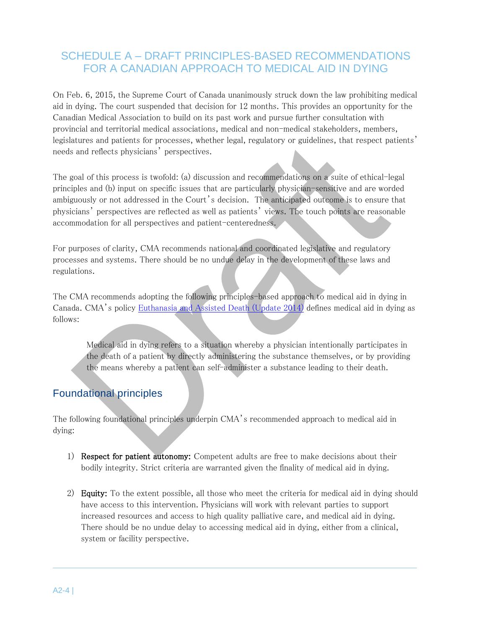# <span id="page-3-0"></span>SCHEDULE A – DRAFT PRINCIPLES-BASED RECOMMENDATIONS FOR A CANADIAN APPROACH TO MEDICAL AID IN DYING

On Feb. 6, 2015, the Supreme Court of Canada unanimously struck down the law prohibiting medical aid in dying. The court suspended that decision for 12 months. This provides an opportunity for the Canadian Medical Association to build on its past work and pursue further consultation with provincial and territorial medical associations, medical and non-medical stakeholders, members, legislatures and patients for processes, whether legal, regulatory or guidelines, that respect patients' needs and reflects physicians' perspectives.

The goal of this process is twofold: (a) discussion and recommendations on a suite of ethical-legal principles and (b) input on specific issues that are particularly physician-sensitive and are worded ambiguously or not addressed in the Court's decision. The anticipated outcome is to ensure that physicians' perspectives are reflected as well as patients' views. The touch points are reasonable accommodation for all perspectives and patient-centeredness.

For purposes of clarity, CMA recommends national and coordinated legislative and regulatory processes and systems. There should be no undue delay in the development of these laws and regulations.

The CMA recommends adopting the following principles-based approach to medical aid in dying in Canada. CMA's policy [Euthanasia and Assisted Death \(Update 2014\)](https://www.cma.ca/Assets/assets-library/document/en/advocacy/EOL/cma-policy-euthanasia-assisted-death-updated-2014-e.pdf) defines medical aid in dying as follows:

Medical aid in dying refers to a situation whereby a physician intentionally participates in the death of a patient by directly administering the substance themselves, or by providing the means whereby a patient can self-administer a substance leading to their death.

### Foundational principles

The following foundational principles underpin CMA's recommended approach to medical aid in dying:

- 1) Respect for patient autonomy: Competent adults are free to make decisions about their bodily integrity. Strict criteria are warranted given the finality of medical aid in dying.
- 2) Equity: To the extent possible, all those who meet the criteria for medical aid in dying should have access to this intervention. Physicians will work with relevant parties to support increased resources and access to high quality palliative care, and medical aid in dying. There should be no undue delay to accessing medical aid in dying, either from a clinical, system or facility perspective.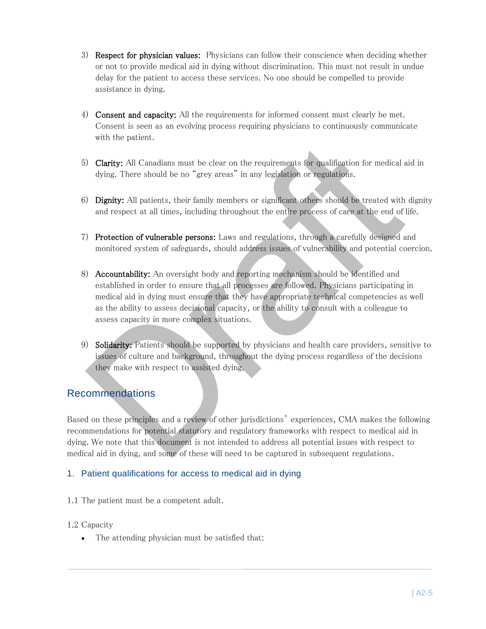- 3) Respect for physician values: Physicians can follow their conscience when deciding whether or not to provide medical aid in dying without discrimination. This must not result in undue delay for the patient to access these services. No one should be compelled to provide assistance in dying.
- 4) Consent and capacity: All the requirements for informed consent must clearly be met. Consent is seen as an evolving process requiring physicians to continuously communicate with the patient.
- 5) Clarity: All Canadians must be clear on the requirements for qualification for medical aid in dying. There should be no "grey areas" in any legislation or regulations.
- 6) Dignity: All patients, their family members or significant others should be treated with dignity and respect at all times, including throughout the entire process of care at the end of life.
- 7) Protection of vulnerable persons: Laws and regulations, through a carefully designed and monitored system of safeguards, should address issues of vulnerability and potential coercion.
- 8) Accountability: An oversight body and reporting mechanism should be identified and established in order to ensure that all processes are followed. Physicians participating in medical aid in dying must ensure that they have appropriate technical competencies as well as the ability to assess decisional capacity, or the ability to consult with a colleague to assess capacity in more complex situations.
- 9) Solidarity: Patients should be supported by physicians and health care providers, sensitive to issues of culture and background, throughout the dying process regardless of the decisions they make with respect to assisted dying.

### Recommendations

Based on these principles and a review of other jurisdictions' experiences, CMA makes the following recommendations for potential statutory and regulatory frameworks with respect to medical aid in dying. We note that this document is not intended to address all potential issues with respect to medical aid in dying, and some of these will need to be captured in subsequent regulations.

#### 1. Patient qualifications for access to medical aid in dying

- 1.1 The patient must be a competent adult.
- 1.2 Capacity
	- The attending physician must be satisfied that: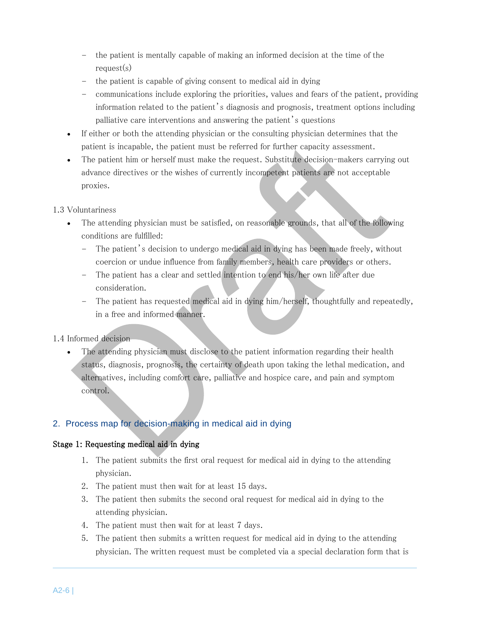- the patient is mentally capable of making an informed decision at the time of the request(s)
- the patient is capable of giving consent to medical aid in dying
- communications include exploring the priorities, values and fears of the patient, providing information related to the patient's diagnosis and prognosis, treatment options including palliative care interventions and answering the patient's questions
- If either or both the attending physician or the consulting physician determines that the patient is incapable, the patient must be referred for further capacity assessment.
- The patient him or herself must make the request. Substitute decision-makers carrying out advance directives or the wishes of currently incompetent patients are not acceptable proxies.

#### 1.3 Voluntariness

- The attending physician must be satisfied, on reasonable grounds, that all of the following conditions are fulfilled:
	- The patient's decision to undergo medical aid in dying has been made freely, without coercion or undue influence from family members, health care providers or others.
	- The patient has a clear and settled intention to end his/her own life after due consideration.
	- The patient has requested medical aid in dying him/herself, thoughtfully and repeatedly, in a free and informed manner.

1.4 Informed decision

 The attending physician must disclose to the patient information regarding their health status, diagnosis, prognosis, the certainty of death upon taking the lethal medication, and alternatives, including comfort care, palliative and hospice care, and pain and symptom control.

#### 2. Process map for decision-making in medical aid in dying

#### Stage 1: Requesting medical aid in dying

- 1. The patient submits the first oral request for medical aid in dying to the attending physician.
- 2. The patient must then wait for at least 15 days.
- 3. The patient then submits the second oral request for medical aid in dying to the attending physician.
- 4. The patient must then wait for at least 7 days.
- 5. The patient then submits a written request for medical aid in dying to the attending physician. The written request must be completed via a special declaration form that is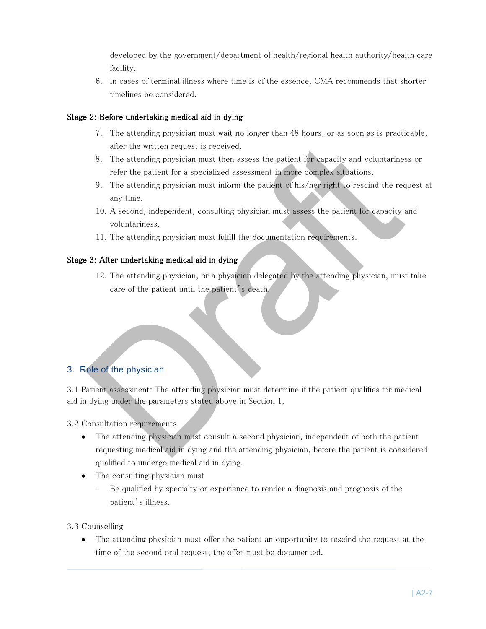developed by the government/department of health/regional health authority/health care facility.

6. In cases of terminal illness where time is of the essence, CMA recommends that shorter timelines be considered.

#### Stage 2: Before undertaking medical aid in dying

- 7. The attending physician must wait no longer than 48 hours, or as soon as is practicable, after the written request is received.
- 8. The attending physician must then assess the patient for capacity and voluntariness or refer the patient for a specialized assessment in more complex situations.
- 9. The attending physician must inform the patient of his/her right to rescind the request at any time.
- 10. A second, independent, consulting physician must assess the patient for capacity and voluntariness.
- 11. The attending physician must fulfill the documentation requirements.

#### Stage 3: After undertaking medical aid in dying

12. The attending physician, or a physician delegated by the attending physician, must take care of the patient until the patient's death.

### 3. Role of the physician

3.1 Patient assessment: The attending physician must determine if the patient qualifies for medical aid in dying under the parameters stated above in Section 1.

3.2 Consultation requirements

- The attending physician must consult a second physician, independent of both the patient requesting medical aid in dying and the attending physician, before the patient is considered qualified to undergo medical aid in dying.
- The consulting physician must
	- Be qualified by specialty or experience to render a diagnosis and prognosis of the patient's illness.

3.3 Counselling

 The attending physician must offer the patient an opportunity to rescind the request at the time of the second oral request; the offer must be documented.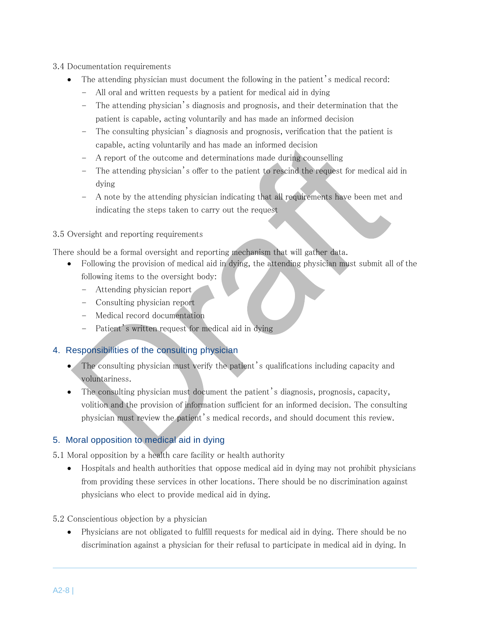- 3.4 Documentation requirements
	- The attending physician must document the following in the patient's medical record:
		- All oral and written requests by a patient for medical aid in dying
		- The attending physician's diagnosis and prognosis, and their determination that the patient is capable, acting voluntarily and has made an informed decision
		- The consulting physician's diagnosis and prognosis, verification that the patient is capable, acting voluntarily and has made an informed decision
		- A report of the outcome and determinations made during counselling
		- The attending physician's offer to the patient to rescind the request for medical aid in dying
		- A note by the attending physician indicating that all requirements have been met and indicating the steps taken to carry out the request

#### 3.5 Oversight and reporting requirements

There should be a formal oversight and reporting mechanism that will gather data.

- Following the provision of medical aid in dying, the attending physician must submit all of the following items to the oversight body:
	- Attending physician report
	- Consulting physician report
	- Medical record documentation
	- Patient's written request for medical aid in dying

#### 4. Responsibilities of the consulting physician

- The consulting physician must verify the patient's qualifications including capacity and voluntariness.
- The consulting physician must document the patient's diagnosis, prognosis, capacity, volition and the provision of information sufficient for an informed decision. The consulting physician must review the patient's medical records, and should document this review.

#### 5. Moral opposition to medical aid in dying

- 5.1 Moral opposition by a health care facility or health authority
	- Hospitals and health authorities that oppose medical aid in dying may not prohibit physicians from providing these services in other locations. There should be no discrimination against physicians who elect to provide medical aid in dying.
- 5.2 Conscientious objection by a physician
	- Physicians are not obligated to fulfill requests for medical aid in dying. There should be no discrimination against a physician for their refusal to participate in medical aid in dying. In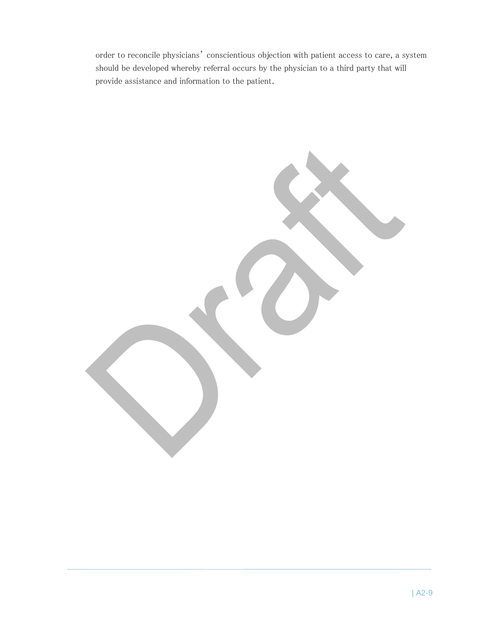order to reconcile physicians' conscientious objection with patient access to care, a system should be developed whereby referral occurs by the physician to a third party that will provide assistance and information to the patient.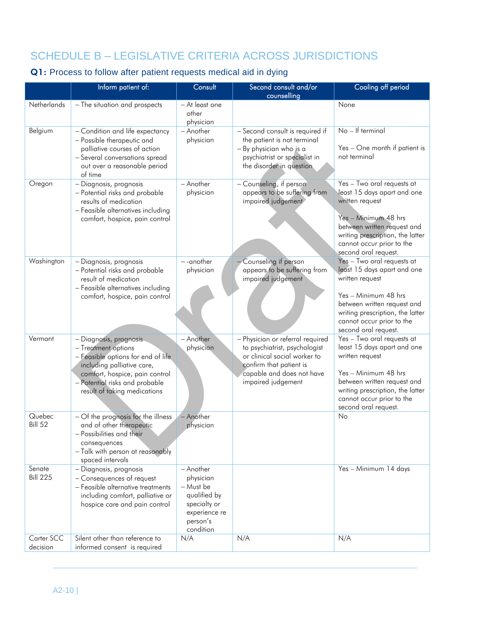# SCHEDULE B – LEGISLATIVE CRITERIA ACROSS JURISDICTIONS

# Q1: Process to follow after patient requests medical aid in dying

|                           | Inform patient of:                                                                                                                                                                                                    | Consult                                                                                                       | Second consult and/or                                                                                                                                                           | Cooling off period                                                                                                                                                                                                           |
|---------------------------|-----------------------------------------------------------------------------------------------------------------------------------------------------------------------------------------------------------------------|---------------------------------------------------------------------------------------------------------------|---------------------------------------------------------------------------------------------------------------------------------------------------------------------------------|------------------------------------------------------------------------------------------------------------------------------------------------------------------------------------------------------------------------------|
| Netherlands               | - The situation and prospects                                                                                                                                                                                         | - At least one<br>other<br>physician                                                                          | counselling                                                                                                                                                                     | None                                                                                                                                                                                                                         |
| Belgium                   | - Condition and life expectancy<br>- Possible therapeutic and<br>palliative courses of action<br>- Several conversations spread<br>out over a reasonable period<br>of time                                            | - Another<br>physician                                                                                        | - Second consult is required if<br>the patient is not terminal<br>- By physician who is a<br>psychiatrist or specialist in<br>the disorder in question                          | No - If terminal<br>Yes - One month if patient is<br>not terminal                                                                                                                                                            |
| Oregon                    | - Diagnosis, prognosis<br>- Potential risks and probable<br>results of medication<br>- Feasible alternatives including<br>comfort, hospice, pain control                                                              | - Another<br>physician                                                                                        | - Counseling, if person<br>appears to be suffering from<br>impaired judgement                                                                                                   | Yes - Two oral requests at<br>least 15 days apart and one<br>written request<br>Yes - Minimum 48 hrs<br>between written request and<br>writing prescription, the latter<br>cannot occur prior to the<br>second oral request. |
| Washington                | - Diagnosis, prognosis<br>- Potential risks and probable<br>result of medication<br>- Feasible alternatives including<br>comfort, hospice, pain control                                                               | --another<br>physician                                                                                        | - Counseling if person<br>appears to be suffering from<br>impaired judgement                                                                                                    | Yes - Two oral requests at<br>least 15 days apart and one<br>written request<br>Yes - Minimum 48 hrs<br>between written request and<br>writing prescription, the latter<br>cannot occur prior to the<br>second oral request. |
| Vermont                   | - Diagnosis, prognosis<br>- Treatment options<br>- Feasible options for end of life<br>including palliative care,<br>comfort, hospice, pain control<br>- Potential risks and probable<br>result of taking medications | - Another<br>physician                                                                                        | - Physician or referral required<br>to psychiatrist, psychologist<br>or clinical social worker to<br>confirm that patient is<br>capable and does not have<br>impaired judgement | Yes - Two oral requests at<br>least 15 days apart and one<br>written request<br>Yes - Minimum 48 hrs<br>between written request and<br>writing prescription, the latter<br>cannot occur prior to the<br>second oral request. |
| Quebec<br><b>Bill 52</b>  | - Of the prognosis for the illness<br>and of other therapeutic<br>- Possibilities and their<br>consequences<br>- Talk with person at reasonably<br>spaced intervals                                                   | - Another<br>physician                                                                                        |                                                                                                                                                                                 | No                                                                                                                                                                                                                           |
| Senate<br><b>Bill 225</b> | - Diagnosis, prognosis<br>- Consequences of request<br>- Feasible alternative treatments<br>including comfort, palliative or<br>hospice care and pain control                                                         | - Another<br>physician<br>- Must be<br>qualified by<br>specialty or<br>experience re<br>person's<br>condition |                                                                                                                                                                                 | Yes - Minimum 14 days                                                                                                                                                                                                        |
| Carter SCC<br>decision    | Silent other than reference to<br>informed consent is required                                                                                                                                                        | N/A                                                                                                           | N/A                                                                                                                                                                             | N/A                                                                                                                                                                                                                          |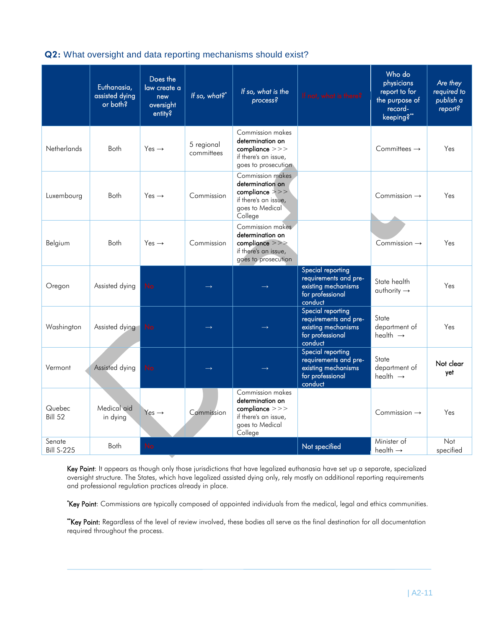#### Q2: What oversight and data reporting mechanisms should exist?

|                             | Euthanasia,<br>assisted dying<br>or both? | Does the<br>law create a<br>new<br>oversight<br>entity? | If so, what?*            | If so, what is the<br>$\overline{process?}$                                                                            | If not, what is there?                                                                           | Who do<br>physicians<br>report to for<br>the purpose of<br>record-<br>keeping?" | Are they<br>required to<br>publish a<br>report? |
|-----------------------------|-------------------------------------------|---------------------------------------------------------|--------------------------|------------------------------------------------------------------------------------------------------------------------|--------------------------------------------------------------------------------------------------|---------------------------------------------------------------------------------|-------------------------------------------------|
| <b>Netherlands</b>          | Both                                      | Yes $\rightarrow$                                       | 5 regional<br>committees | Commission makes<br>determination on<br>compliance >>><br>if there's an issue,<br>goes to prosecution                  |                                                                                                  | Committees $\rightarrow$                                                        | Yes                                             |
| Luxembourg                  | Both                                      | Yes $\rightarrow$                                       | Commission               | Commission makes<br>determination on<br>$\text{combine} \ge \ge$<br>if there's an issue,<br>goes to Medical<br>College |                                                                                                  | Commission $\rightarrow$                                                        | Yes                                             |
| Belgium                     | <b>Both</b>                               | $Yes \rightarrow$                                       | Commission               | Commission makes<br>determination on<br>compliance >>><br>if there's an issue,<br>goes to prosecution                  |                                                                                                  | Commission $\rightarrow$                                                        | Yes                                             |
| Oregon                      | Assisted dying                            | <b>No</b>                                               |                          |                                                                                                                        | Special reporting<br>requirements and pre-<br>existing mechanisms<br>for professional<br>conduct | State health<br>$\alpha$ uthority $\rightarrow$                                 | Yes                                             |
| Washington                  | Assisted dying                            | <b>No</b>                                               |                          |                                                                                                                        | Special reporting<br>requirements and pre-<br>existing mechanisms<br>for professional<br>conduct | State<br>department of<br>health $\rightarrow$                                  | Yes                                             |
| Vermont                     | Assisted dying                            | <b>No</b>                                               |                          |                                                                                                                        | Special reporting<br>requirements and pre-<br>existing mechanisms<br>for professional<br>conduct | State<br>department of<br>health $\rightarrow$                                  | Not clear<br>yet                                |
| Quebec<br><b>Bill 52</b>    | Medical aid<br>in dying                   | Yes $\rightarrow$                                       | Commission               | Commission makes<br>determination on<br>compliance >>><br>if there's an issue,<br>goes to Medical<br>College           |                                                                                                  | Commission $\rightarrow$                                                        | Yes                                             |
| Senate<br><b>Bill S-225</b> | <b>Both</b>                               | <b>No</b>                                               |                          |                                                                                                                        | Not specified                                                                                    | Minister of<br>health $\rightarrow$                                             | Not<br>specified                                |

Key Point: It appears as though only those jurisdictions that have legalized euthanasia have set up a separate, specialized oversight structure. The States, which have legalized assisted dying only, rely mostly on additional reporting requirements and professional regulation practices already in place.

\*Key Point: Commissions are typically composed of appointed individuals from the medical, legal and ethics communities.

\*\*Key Point: Regardless of the level of review involved, these bodies all serve as the final destination for all documentation required throughout the process.